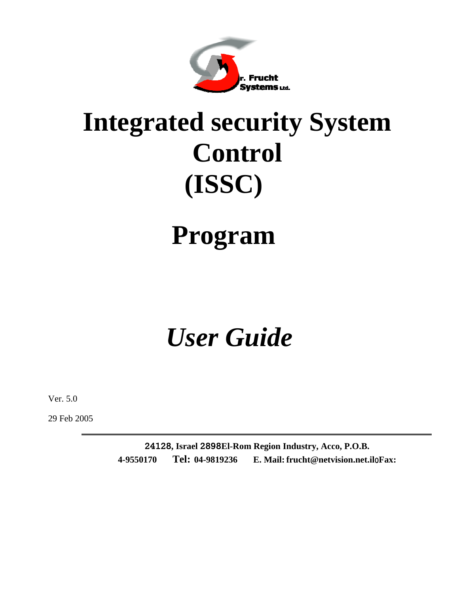

# **Integrated security System Control (ISSC)**

# **Program**

# *User Guide*

Ver. 5.0

29 Feb 2005

**24128, Israel 2898El-Rom Region Industry, Acco, P.O.B. 4-9550170 Tel: 04-9819236 E. Mail:frucht@netvision.net.il**0**Fax:**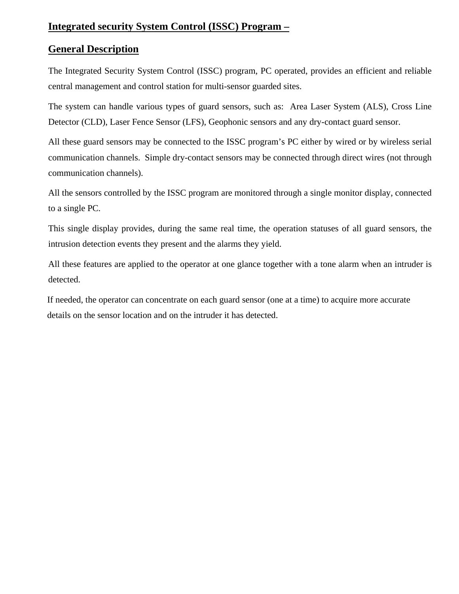## **Integrated security System Control (ISSC) Program –**

## **General Description**

The Integrated Security System Control (ISSC) program, PC operated, provides an efficient and reliable central management and control station for multi-sensor guarded sites.

The system can handle various types of guard sensors, such as: Area Laser System (ALS), Cross Line Detector (CLD), Laser Fence Sensor (LFS), Geophonic sensors and any dry-contact guard sensor.

All these guard sensors may be connected to the ISSC program's PC either by wired or by wireless serial communication channels. Simple dry-contact sensors may be connected through direct wires (not through communication channels).

All the sensors controlled by the ISSC program are monitored through a single monitor display, connected to a single PC.

This single display provides, during the same real time, the operation statuses of all guard sensors, the intrusion detection events they present and the alarms they yield.

All these features are applied to the operator at one glance together with a tone alarm when an intruder is detected.

If needed, the operator can concentrate on each guard sensor (one at a time) to acquire more accurate details on the sensor location and on the intruder it has detected.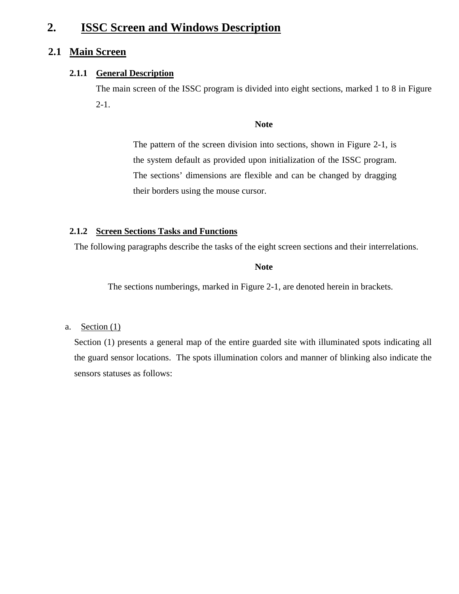## **2. ISSC Screen and Windows Description**

## **2.1 Main Screen**

#### **2.1.1 General Description**

The main screen of the ISSC program is divided into eight sections, marked 1 to 8 in Figure 2-1.

#### **Note**

The pattern of the screen division into sections, shown in Figure 2-1, is the system default as provided upon initialization of the ISSC program. The sections' dimensions are flexible and can be changed by dragging their borders using the mouse cursor.

#### **2.1.2 Screen Sections Tasks and Functions**

The following paragraphs describe the tasks of the eight screen sections and their interrelations.

#### **Note**

The sections numberings, marked in Figure 2-1, are denoted herein in brackets.

#### a. Section  $(1)$

Section (1) presents a general map of the entire guarded site with illuminated spots indicating all the guard sensor locations. The spots illumination colors and manner of blinking also indicate the sensors statuses as follows: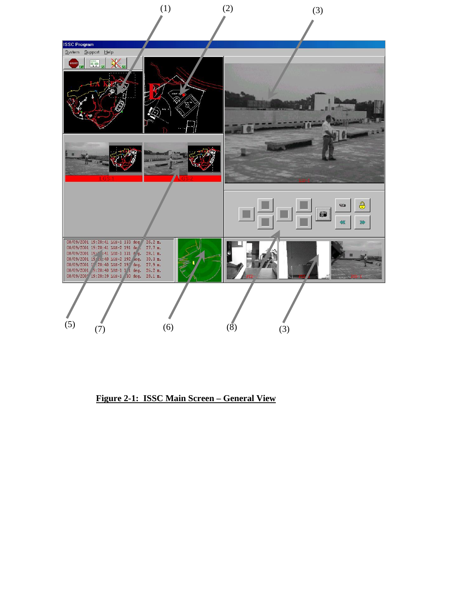

**Figure 2-1: ISSC Main Screen – General View**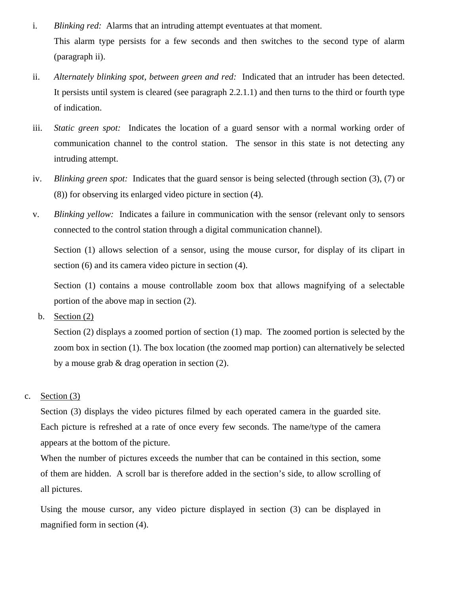- i. *Blinking red:* Alarms that an intruding attempt eventuates at that moment. This alarm type persists for a few seconds and then switches to the second type of alarm (paragraph ii).
- ii. *Alternately blinking spot, between green and red:* Indicated that an intruder has been detected. It persists until system is cleared (see paragraph 2.2.1.1) and then turns to the third or fourth type of indication.
- iii. *Static green spot:* Indicates the location of a guard sensor with a normal working order of communication channel to the control station. The sensor in this state is not detecting any intruding attempt.
- iv. *Blinking green spot:* Indicates that the guard sensor is being selected (through section (3), (7) or (8)) for observing its enlarged video picture in section (4).
- v. *Blinking yellow:* Indicates a failure in communication with the sensor (relevant only to sensors connected to the control station through a digital communication channel).

Section (1) allows selection of a sensor, using the mouse cursor, for display of its clipart in section (6) and its camera video picture in section (4).

Section (1) contains a mouse controllable zoom box that allows magnifying of a selectable portion of the above map in section (2).

b. Section (2)

Section (2) displays a zoomed portion of section (1) map. The zoomed portion is selected by the zoom box in section (1). The box location (the zoomed map portion) can alternatively be selected by a mouse grab & drag operation in section (2).

#### c. Section (3)

Section (3) displays the video pictures filmed by each operated camera in the guarded site. Each picture is refreshed at a rate of once every few seconds. The name/type of the camera appears at the bottom of the picture.

When the number of pictures exceeds the number that can be contained in this section, some of them are hidden. A scroll bar is therefore added in the section's side, to allow scrolling of all pictures.

Using the mouse cursor, any video picture displayed in section (3) can be displayed in magnified form in section (4).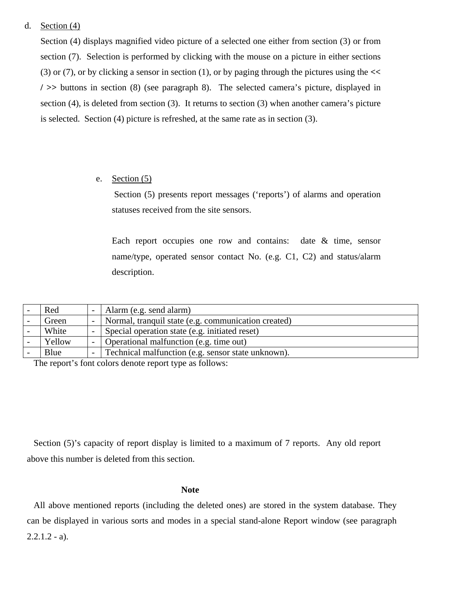#### d. Section (4)

Section (4) displays magnified video picture of a selected one either from section (3) or from section (7). Selection is performed by clicking with the mouse on a picture in either sections (3) or (7), or by clicking a sensor in section (1), or by paging through the pictures using the **<< / >>** buttons in section (8) (see paragraph 8). The selected camera's picture, displayed in section (4), is deleted from section (3). It returns to section (3) when another camera's picture is selected. Section (4) picture is refreshed, at the same rate as in section (3).

#### e. Section (5)

Section (5) presents report messages ('reports') of alarms and operation statuses received from the site sensors.

Each report occupies one row and contains: date & time, sensor name/type, operated sensor contact No. (e.g. C1, C2) and status/alarm description.

| Red                                                                                               |  | Alarm (e.g. send alarm)                             |  |
|---------------------------------------------------------------------------------------------------|--|-----------------------------------------------------|--|
| Green                                                                                             |  | Normal, tranquil state (e.g. communication created) |  |
| White                                                                                             |  | Special operation state (e.g. initiated reset)      |  |
| Yellow                                                                                            |  | Operational malfunction (e.g. time out)             |  |
| Blue                                                                                              |  | Technical malfunction (e.g. sensor state unknown).  |  |
| $\sim$ $\sim$<br>,这是我们的人,我们也不会不会不会。""我们的人,我们也不会不会不会。""我们的人,我们也不会不会不会。""我们的人,我们也不会不会不会不会不会不会不会不会不会 |  |                                                     |  |

The report's font colors denote report type as follows:

Section (5)'s capacity of report display is limited to a maximum of 7 reports. Any old report above this number is deleted from this section.

#### **Note**

All above mentioned reports (including the deleted ones) are stored in the system database. They can be displayed in various sorts and modes in a special stand-alone Report window (see paragraph  $2.2.1.2 - a$ ).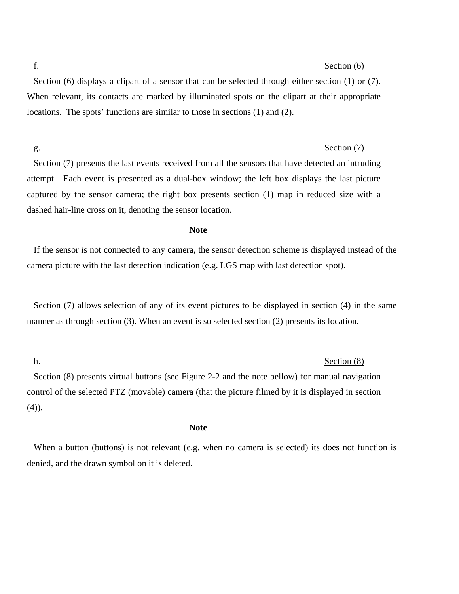#### f. Section (6)

Section (6) displays a clipart of a sensor that can be selected through either section (1) or (7). When relevant, its contacts are marked by illuminated spots on the clipart at their appropriate locations. The spots' functions are similar to those in sections (1) and (2).

#### g. Section (7)

Section (7) presents the last events received from all the sensors that have detected an intruding attempt. Each event is presented as a dual-box window; the left box displays the last picture captured by the sensor camera; the right box presents section (1) map in reduced size with a dashed hair-line cross on it, denoting the sensor location.

#### **Note**

If the sensor is not connected to any camera, the sensor detection scheme is displayed instead of the camera picture with the last detection indication (e.g. LGS map with last detection spot).

Section (7) allows selection of any of its event pictures to be displayed in section (4) in the same manner as through section (3). When an event is so selected section (2) presents its location.

#### h. Section (8)

Section (8) presents virtual buttons (see Figure 2-2 and the note bellow) for manual navigation control of the selected PTZ (movable) camera (that the picture filmed by it is displayed in section (4)).

**Note** 

When a button (buttons) is not relevant (e.g. when no camera is selected) its does not function is denied, and the drawn symbol on it is deleted.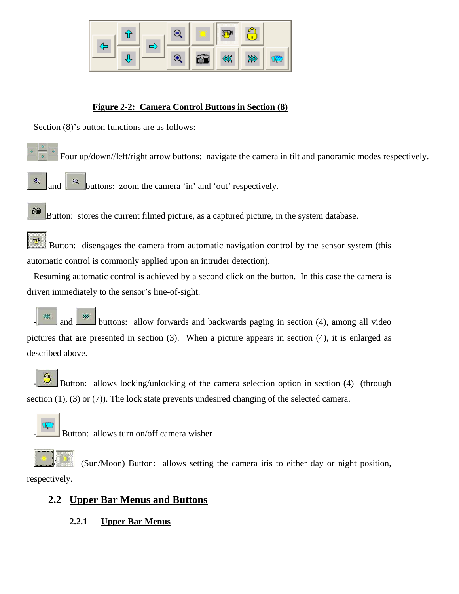

### **Figure 2-2: Camera Control Buttons in Section (8)**

Section (8)'s button functions are as follows:

- Four up/down//left/right arrow buttons: navigate the camera in tilt and panoramic modes respectively.
- $\mathfrak{B}$

 $\alpha$  buttons: zoom the camera 'in' and 'out' respectively.

61 Button: stores the current filmed picture, as a captured picture, in the system database.

雪 Button: disengages the camera from automatic navigation control by the sensor system (this automatic control is commonly applied upon an intruder detection).

Resuming automatic control is achieved by a second click on the button. In this case the camera is driven immediately to the sensor's line-of-sight.

 $\mathbb{R}$  and  $\mathbb{R}$  buttons: allow forwards and backwards paging in section (4), among all video pictures that are presented in section (3). When a picture appears in section (4), it is enlarged as described above.

Button: allows locking/unlocking of the camera selection option in section (4) (through section (1), (3) or (7)). The lock state prevents undesired changing of the selected camera.



Button: allows turn on/off camera wisher

/ (Sun/Moon) Button: allows setting the camera iris to either day or night position, respectively.

## **2.2 Upper Bar Menus and Buttons**

**2.2.1 Upper Bar Menus**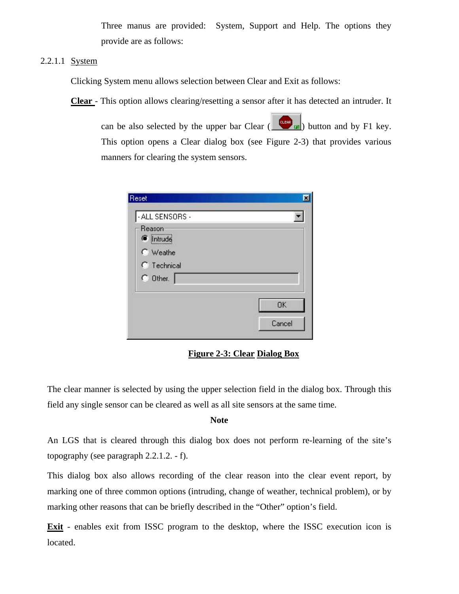Three manus are provided: System, Support and Help. The options they provide are as follows:

#### 2.2.1.1 <u>System</u>

Clicking System menu allows selection between Clear and Exit as follows:

**Clear** - This option allows clearing/resetting a sensor after it has detected an intruder. It

can be also selected by the upper bar Clear ( $\frac{\text{cm}}{\text{cm}}$ ) button and by F1 key. This option opens a Clear dialog box (see Figure 2-3) that provides various manners for clearing the system sensors.

| Reset                         |           |
|-------------------------------|-----------|
| - ALL SENSORS -               |           |
| Reason<br>lntrude<br>C Weathe |           |
| <b>C</b> Technical            |           |
| $C$ Other.                    |           |
|                               | <b>OK</b> |
|                               | Cancel    |

**Figure 2-3: Clear Dialog Box**

The clear manner is selected by using the upper selection field in the dialog box. Through this field any single sensor can be cleared as well as all site sensors at the same time.

#### **Note**

An LGS that is cleared through this dialog box does not perform re-learning of the site's topography (see paragraph 2.2.1.2. - f).

This dialog box also allows recording of the clear reason into the clear event report, by marking one of three common options (intruding, change of weather, technical problem), or by marking other reasons that can be briefly described in the "Other" option's field.

**Exit** - enables exit from ISSC program to the desktop, where the ISSC execution icon is located.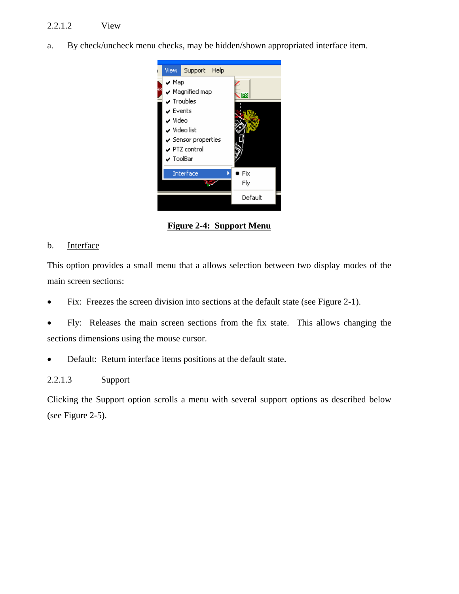## 2.2.1.2 View

a. By check/uncheck menu checks, may be hidden/shown appropriated interface item.



**Figure 2-4: Support Menu**

#### b. Interface

This option provides a small menu that a allows selection between two display modes of the main screen sections:

- Fix: Freezes the screen division into sections at the default state (see Figure 2-1).
- Fly: Releases the main screen sections from the fix state. This allows changing the sections dimensions using the mouse cursor.
- Default: Return interface items positions at the default state.

#### 2.2.1.3 Support

Clicking the Support option scrolls a menu with several support options as described below (see Figure 2-5).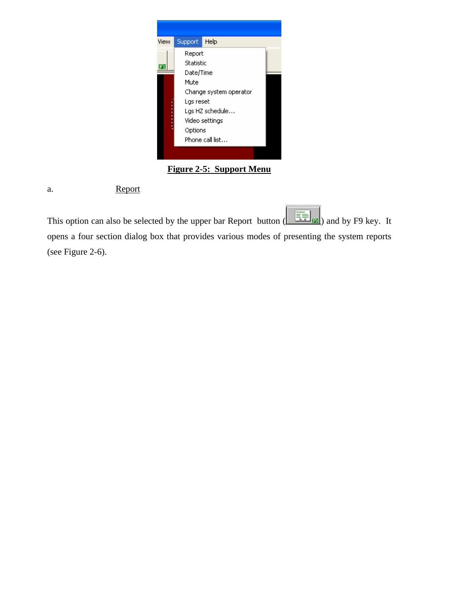

## **Figure 2-5: Support Menu**

a. Report

This option can also be selected by the upper bar Report button  $\left(\frac{\sqrt{2}}{\sqrt{1-\frac{1}{2}}}\right)$  and by F9 key. It opens a four section dialog box that provides various modes of presenting the system reports (see Figure 2-6).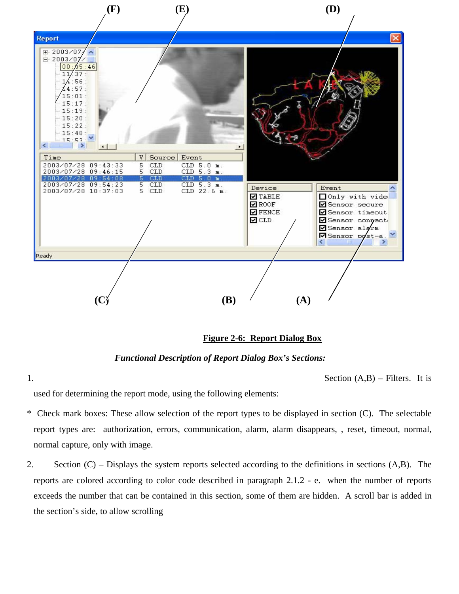

#### **Figure 2-6: Report Dialog Box**

*Functional Description of Report Dialog Box's Sections:* 

1. Section (A,B) – Filters. It is

used for determining the report mode, using the following elements:

- \* Check mark boxes: These allow selection of the report types to be displayed in section (C). The selectable report types are: authorization, errors, communication, alarm, alarm disappears, , reset, timeout, normal, normal capture, only with image.
- 2. Section (C) Displays the system reports selected according to the definitions in sections (A,B). The reports are colored according to color code described in paragraph 2.1.2 - e. when the number of reports exceeds the number that can be contained in this section, some of them are hidden. A scroll bar is added in the section's side, to allow scrolling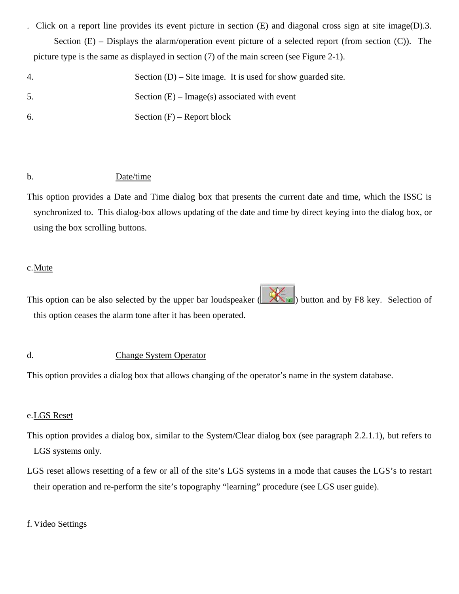- . Click on a report line provides its event picture in section (E) and diagonal cross sign at site image(D).3. Section  $(E)$  – Displays the alarm/operation event picture of a selected report (from section  $(C)$ ). The picture type is the same as displayed in section (7) of the main screen (see Figure 2-1).
- 4. Section (D) Site image. It is used for show guarded site.
- 5. Section (E) Image(s) associated with event
- 6. Section (F) Report block

#### b. Date/time

This option provides a Date and Time dialog box that presents the current date and time, which the ISSC is synchronized to. This dialog-box allows updating of the date and time by direct keying into the dialog box, or using the box scrolling buttons.

#### c. Mute

This option can be also selected by the upper bar loudspeaker  $\left(\frac{\sqrt{2\pi}}{2}\right)$  button and by F8 key. Selection of this option ceases the alarm tone after it has been operated.

#### d. Change System Operator

This option provides a dialog box that allows changing of the operator's name in the system database.

#### e. LGS Reset

- This option provides a dialog box, similar to the System/Clear dialog box (see paragraph 2.2.1.1), but refers to LGS systems only.
- LGS reset allows resetting of a few or all of the site's LGS systems in a mode that causes the LGS's to restart their operation and re-perform the site's topography "learning" procedure (see LGS user guide).

#### f. Video Settings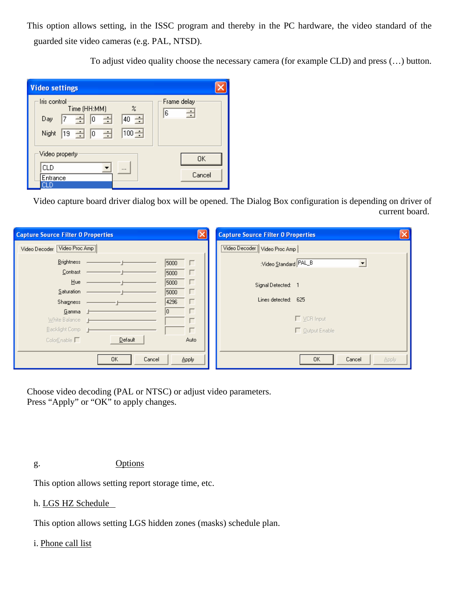This option allows setting, in the ISSC program and thereby in the PC hardware, the video standard of the guarded site video cameras (e.g. PAL, NTSD).

To adjust video quality choose the necessary camera (for example CLD) and press (…) button.

| <b>Video settings</b>                                                                                                                                    |                       |
|----------------------------------------------------------------------------------------------------------------------------------------------------------|-----------------------|
| - Iris control·<br>$\boldsymbol{\mathsf{z}}$<br>Time (HH:MM)<br>$\rightarrow$ 0<br>극<br>÷<br>40<br>7<br>Day<br>100 $\div$<br>- 금<br>$19 \div 0$<br>Night | Frame delay<br>극<br>6 |
| Video property                                                                                                                                           | 0K                    |
| СLD<br>                                                                                                                                                  |                       |
| Entrance                                                                                                                                                 | Cancel                |
|                                                                                                                                                          |                       |

Video capture board driver dialog box will be opened. The Dialog Box configuration is depending on driver of current board.

| <b>Capture Source Filter 0 Properties</b> |               | $\times$    | <b>Capture Source Filter 0 Properties</b> | $\vert x \vert$ |
|-------------------------------------------|---------------|-------------|-------------------------------------------|-----------------|
| Video Decoder Video Proc Amp              |               |             | Video Decoder   Video Proc Amp            |                 |
| <b>Brightness</b>                         |               | 5000<br>г   | :Video Standard PAL_B<br>▼                |                 |
| Contrast                                  |               | 5000        |                                           |                 |
| Hue                                       |               | 5000        | Signal Detected: 1                        |                 |
| Saturation                                |               | 5000        |                                           |                 |
| <b>Sharpness</b>                          |               | 4296        | Lines detected: 625                       |                 |
| Gamma J                                   |               |             |                                           |                 |
| White Balance   1                         |               |             | □ VCR Input                               |                 |
| Backlight Comp 1                          |               |             | Output Enable                             |                 |
| ColorEnable $\Box$                        | Default       | <b>Auto</b> |                                           |                 |
|                                           |               |             |                                           |                 |
|                                           | Cancel<br>OK. | Apply       | OK.<br>Cancel                             | Apply           |

Choose video decoding (PAL or NTSC) or adjust video parameters. Press "Apply" or "OK" to apply changes.

g. Options

This option allows setting report storage time, etc.

#### h. LGS HZ Schedule

This option allows setting LGS hidden zones (masks) schedule plan.

#### i. Phone call list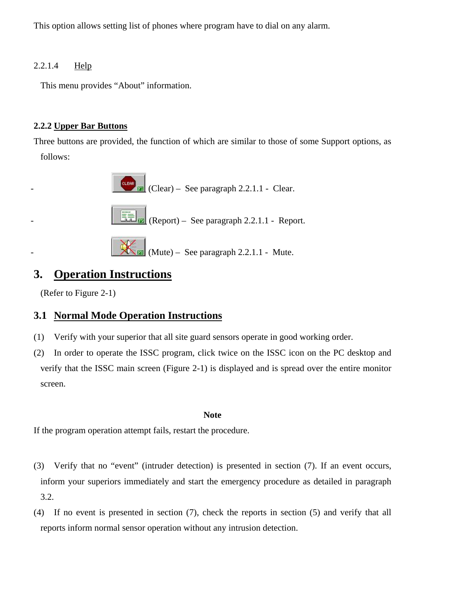This option allows setting list of phones where program have to dial on any alarm.

### 2.2.1.4 Help

This menu provides "About" information.

## **2.2.2 Upper Bar Buttons**

Three buttons are provided, the function of which are similar to those of some Support options, as follows:



## **3. Operation Instructions**

(Refer to Figure 2-1)

## **3.1 Normal Mode Operation Instructions**

- (1) Verify with your superior that all site guard sensors operate in good working order.
- (2) In order to operate the ISSC program, click twice on the ISSC icon on the PC desktop and verify that the ISSC main screen (Figure 2-1) is displayed and is spread over the entire monitor screen.

#### **Note**

If the program operation attempt fails, restart the procedure.

- (3) Verify that no "event" (intruder detection) is presented in section (7). If an event occurs, inform your superiors immediately and start the emergency procedure as detailed in paragraph 3.2.
- (4) If no event is presented in section (7), check the reports in section (5) and verify that all reports inform normal sensor operation without any intrusion detection.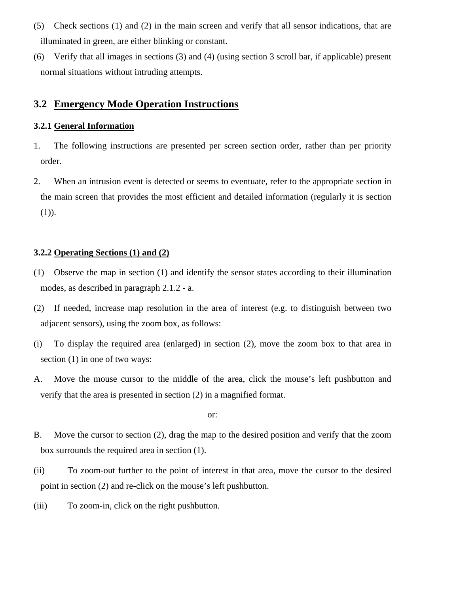- (5) Check sections (1) and (2) in the main screen and verify that all sensor indications, that are illuminated in green, are either blinking or constant.
- (6) Verify that all images in sections (3) and (4) (using section 3 scroll bar, if applicable) present normal situations without intruding attempts.

## **3.2 Emergency Mode Operation Instructions**

#### **3.2.1 General Information**

- 1. The following instructions are presented per screen section order, rather than per priority order.
- 2. When an intrusion event is detected or seems to eventuate, refer to the appropriate section in the main screen that provides the most efficient and detailed information (regularly it is section (1)).

#### **3.2.2 Operating Sections (1) and (2)**

- (1) Observe the map in section (1) and identify the sensor states according to their illumination modes, as described in paragraph 2.1.2 - a.
- (2) If needed, increase map resolution in the area of interest (e.g. to distinguish between two adjacent sensors), using the zoom box, as follows:
- (i) To display the required area (enlarged) in section (2), move the zoom box to that area in section (1) in one of two ways:
- A. Move the mouse cursor to the middle of the area, click the mouse's left pushbutton and verify that the area is presented in section (2) in a magnified format.

or:

- B. Move the cursor to section (2), drag the map to the desired position and verify that the zoom box surrounds the required area in section (1).
- (ii) To zoom-out further to the point of interest in that area, move the cursor to the desired point in section (2) and re-click on the mouse's left pushbutton.
- (iii) To zoom-in, click on the right pushbutton.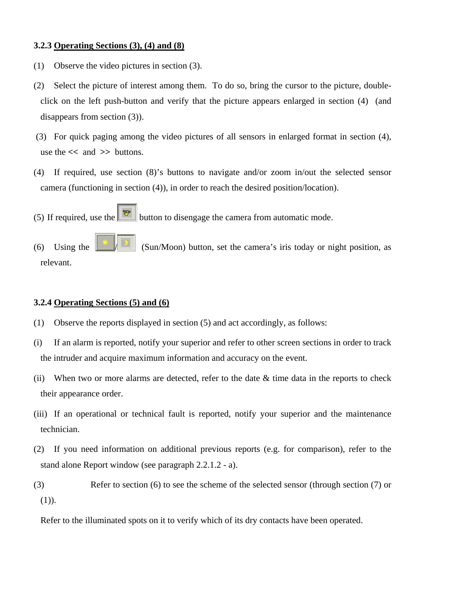#### **3.2.3 Operating Sections (3), (4) and (8)**

- (1) Observe the video pictures in section (3).
- (2) Select the picture of interest among them. To do so, bring the cursor to the picture, doubleclick on the left push-button and verify that the picture appears enlarged in section (4) (and disappears from section (3)).
- (3) For quick paging among the video pictures of all sensors in enlarged format in section (4), use the **<<** and **>>** buttons.
- (4) If required, use section (8)'s buttons to navigate and/or zoom in/out the selected sensor camera (functioning in section (4)), in order to reach the desired position/location).

(5) If required, use the button to disengage the camera from automatic mode.

(6) Using the  $\frac{|\mathbf{S}_i|}{|\mathbf{S}_i|}$  (Sun/Moon) button, set the camera's iris today or night position, as relevant.

#### **3.2.4 Operating Sections (5) and (6)**

- (1) Observe the reports displayed in section (5) and act accordingly, as follows:
- (i) If an alarm is reported, notify your superior and refer to other screen sections in order to track the intruder and acquire maximum information and accuracy on the event.
- (ii) When two or more alarms are detected, refer to the date  $\&$  time data in the reports to check their appearance order.
- (iii) If an operational or technical fault is reported, notify your superior and the maintenance technician.
- (2) If you need information on additional previous reports (e.g. for comparison), refer to the stand alone Report window (see paragraph 2.2.1.2 - a).
- (3) Refer to section (6) to see the scheme of the selected sensor (through section (7) or (1)).

Refer to the illuminated spots on it to verify which of its dry contacts have been operated.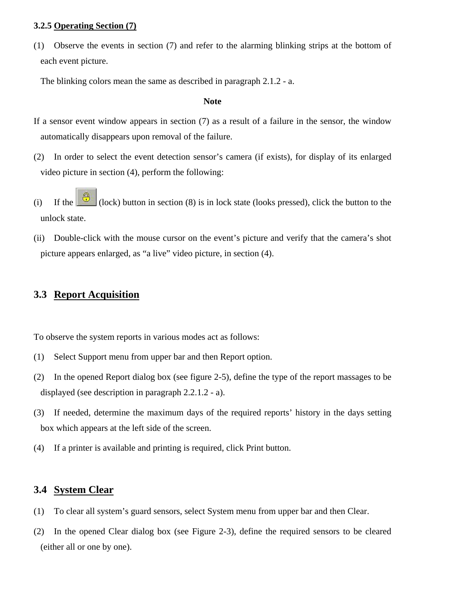#### **3.2.5 Operating Section (7)**

(1) Observe the events in section (7) and refer to the alarming blinking strips at the bottom of each event picture.

The blinking colors mean the same as described in paragraph 2.1.2 - a.

#### **Note**

- If a sensor event window appears in section (7) as a result of a failure in the sensor, the window automatically disappears upon removal of the failure.
- (2) In order to select the event detection sensor's camera (if exists), for display of its enlarged video picture in section (4), perform the following:
- (i) If the  $\left[\begin{array}{c} \bigoplus \\ \bigodot \end{array}\right]$  (lock) button in section (8) is in lock state (looks pressed), click the button to the unlock state.
- (ii) Double-click with the mouse cursor on the event's picture and verify that the camera's shot picture appears enlarged, as "a live" video picture, in section (4).

## **3.3 Report Acquisition**

To observe the system reports in various modes act as follows:

- (1) Select Support menu from upper bar and then Report option.
- (2) In the opened Report dialog box (see figure 2-5), define the type of the report massages to be displayed (see description in paragraph 2.2.1.2 - a).
- (3) If needed, determine the maximum days of the required reports' history in the days setting box which appears at the left side of the screen.
- (4) If a printer is available and printing is required, click Print button.

## **3.4 System Clear**

- (1) To clear all system's guard sensors, select System menu from upper bar and then Clear.
- (2) In the opened Clear dialog box (see Figure 2-3), define the required sensors to be cleared (either all or one by one).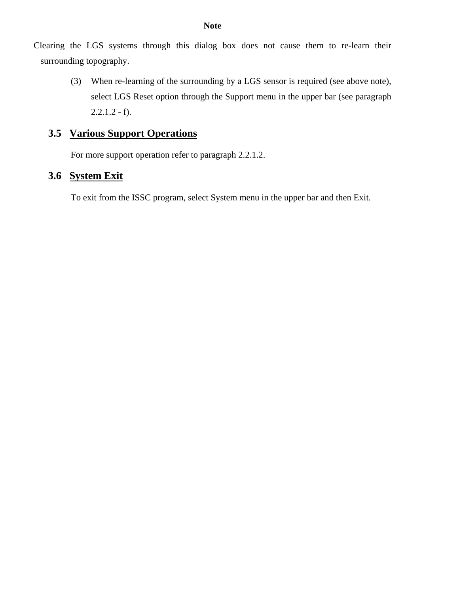Clearing the LGS systems through this dialog box does not cause them to re-learn their surrounding topography.

> (3) When re-learning of the surrounding by a LGS sensor is required (see above note), select LGS Reset option through the Support menu in the upper bar (see paragraph  $2.2.1.2 - f$ .

## **3.5 Various Support Operations**

For more support operation refer to paragraph 2.2.1.2.

## **3.6 System Exit**

To exit from the ISSC program, select System menu in the upper bar and then Exit.

#### **Note**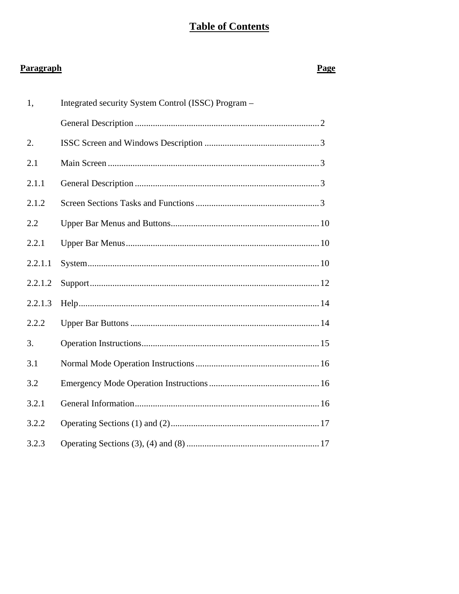## **Table of Contents**

## Paragraph

## **Page**

| 1,      | Integrated security System Control (ISSC) Program - |
|---------|-----------------------------------------------------|
|         |                                                     |
| 2.      |                                                     |
| 2.1     |                                                     |
| 2.1.1   |                                                     |
| 2.1.2   |                                                     |
| 2.2     |                                                     |
| 2.2.1   |                                                     |
| 2.2.1.1 |                                                     |
| 2.2.1.2 |                                                     |
| 2.2.1.3 |                                                     |
| 2.2.2   |                                                     |
| 3.      |                                                     |
| 3.1     |                                                     |
| 3.2     |                                                     |
| 3.2.1   |                                                     |
| 3.2.2   |                                                     |
| 3.2.3   |                                                     |